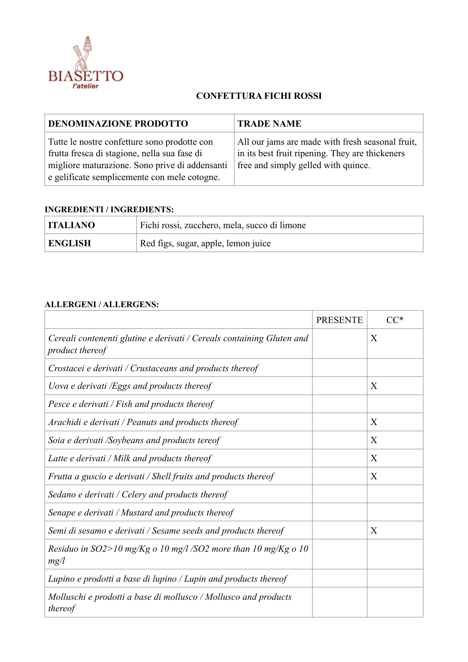

## **CONFETTURA FICHI ROSSI**

| <b>DENOMINAZIONE PRODOTTO</b>                                                                                                                                                                  | <b>TRADE NAME</b>                                                                                                                          |
|------------------------------------------------------------------------------------------------------------------------------------------------------------------------------------------------|--------------------------------------------------------------------------------------------------------------------------------------------|
| Tutte le nostre confetture sono prodotte con<br>frutta fresca di stagione, nella sua fase di<br>migliore maturazione. Sono prive di addensanti<br>e gelificate semplicemente con mele cotogne. | All our jams are made with fresh seasonal fruit,<br>in its best fruit ripening. They are thickeners<br>free and simply gelled with quince. |

## **INGREDIENTI / INGREDIENTS:**

| <b>ITALIANO</b> | Fichi rossi, zucchero, mela, succo di limone |
|-----------------|----------------------------------------------|
| <b>ENGLISH</b>  | Red figs, sugar, apple, lemon juice          |

## **ALLERGENI / ALLERGENS:**

|                                                                                          | <b>PRESENTE</b> | $CC^*$ |
|------------------------------------------------------------------------------------------|-----------------|--------|
| Cereali contenenti glutine e derivati / Cereals containing Gluten and<br>product thereof |                 | X      |
| Crostacei e derivati / Crustaceans and products thereof                                  |                 |        |
| Uova e derivati /Eggs and products thereof                                               |                 | X      |
| Pesce e derivati / Fish and products thereof                                             |                 |        |
| Arachidi e derivati / Peanuts and products thereof                                       |                 | X      |
| Soia e derivati /Soybeans and products tereof                                            |                 | X      |
| Latte e derivati / Milk and products thereof                                             |                 | X      |
| Frutta a guscio e derivati / Shell fruits and products thereof                           |                 | X      |
| Sedano e derivati / Celery and products thereof                                          |                 |        |
| Senape e derivati / Mustard and products thereof                                         |                 |        |
| Semi di sesamo e derivati / Sesame seeds and products thereof                            |                 | X      |
| Residuo in $SO2>10$ mg/Kg o 10 mg/l/SO2 more than 10 mg/Kg o 10<br>mg/l                  |                 |        |
| Lupino e prodotti a base di lupino / Lupin and products thereof                          |                 |        |
| Molluschi e prodotti a base di mollusco / Mollusco and products<br>thereof               |                 |        |